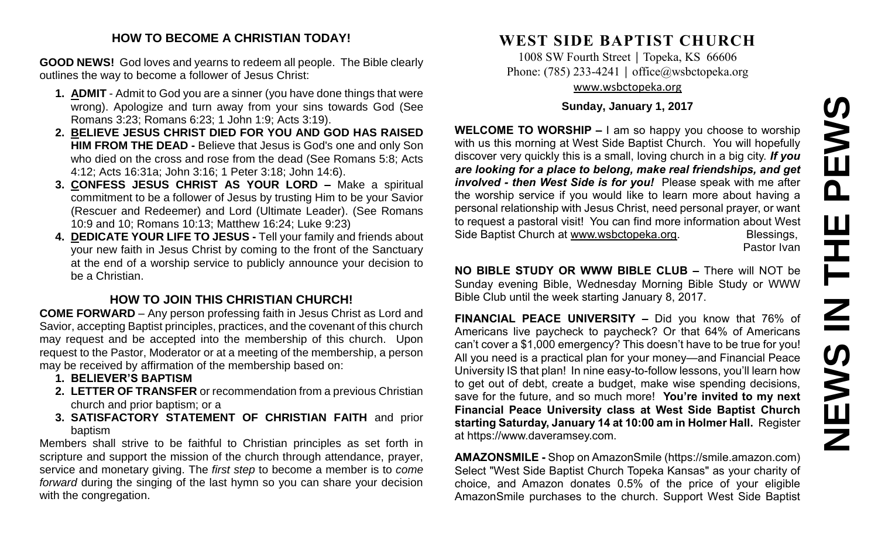#### **HOW TO BECOME A CHRISTIAN TODAY!**

**GOOD NEWS!** God loves and yearns to redeem all people. The Bible clearly outlines the way to become a follower of Jesus Christ:

- **1. ADMIT** Admit to God you are a sinner (you have done things that were wrong). Apologize and turn away from your sins towards God (See Romans 3:23; Romans 6:23; 1 John 1:9; Acts 3:19).
- **2. BELIEVE JESUS CHRIST DIED FOR YOU AND GOD HAS RAISED HIM FROM THE DEAD -** Believe that Jesus is God's one and only Son who died on the cross and rose from the dead (See Romans 5:8; Acts 4:12; Acts 16:31a; John 3:16; 1 Peter 3:18; John 14:6).
- **3. CONFESS JESUS CHRIST AS YOUR LORD –** Make a spiritual commitment to be a follower of Jesus by trusting Him to be your Savior (Rescuer and Redeemer) and Lord (Ultimate Leader). (See Romans 10:9 and 10; Romans 10:13; Matthew 16:24; Luke 9:23)
- **4. DEDICATE YOUR LIFE TO JESUS -** Tell your family and friends about your new faith in Jesus Christ by coming to the front of the Sanctuary at the end of a worship service to publicly announce your decision to be a Christian.

## **HOW TO JOIN THIS CHRISTIAN CHURCH!**

**COME FORWARD** – Any person professing faith in Jesus Christ as Lord and Savior, accepting Baptist principles, practices, and the covenant of this church may request and be accepted into the membership of this church. Upon request to the Pastor, Moderator or at a meeting of the membership, a person may be received by affirmation of the membership based on:

- **1. BELIEVER'S BAPTISM**
- **2. LETTER OF TRANSFER** or recommendation from a previous Christian church and prior baptism; or a
- **3. SATISFACTORY STATEMENT OF CHRISTIAN FAITH** and prior baptism

Members shall strive to be faithful to Christian principles as set forth in scripture and support the mission of the church through attendance, prayer, service and monetary giving. The *first step* to become a member is to *come forward* during the singing of the last hymn so you can share your decision with the congregation.

# **WEST SIDE BAPTIST CHURCH**

1008 SW Fourth Street | Topeka, KS 66606 Phone: (785) 233-4241 │ [office@wsbctopeka.org](mailto:office@wsbctopeka.org) [www.wsbctopeka.org](http://www.wsbctopeka.org/)

**Sunday, January 1, 2017**

**WELCOME TO WORSHIP –** I am so happy you choose to worship with us this morning at West Side Baptist Church. You will hopefully discover very quickly this is a small, loving church in a big city. *If you are looking for a place to belong, make real friendships, and get involved - then West Side is for you!* Please speak with me after the worship service if you would like to learn more about having a personal relationship with Jesus Christ, need personal prayer, or want to request a pastoral visit! You can find more information about West Side Baptist Church at [www.wsbctopeka.org.](http://www.wsbctopeka.org/) Blessings,

Pastor Ivan

**NO BIBLE STUDY OR WWW BIBLE CLUB –** There will NOT be Sunday evening Bible, Wednesday Morning Bible Study or WWW Bible Club until the week starting January 8, 2017.

**FINANCIAL PEACE UNIVERSITY –** Did you know that 76% of Americans live paycheck to paycheck? Or that 64% of Americans can't cover a \$1,000 emergency? This doesn't have to be true for you! All you need is a practical plan for your money—and Financial Peace University IS that plan! In nine easy-to-follow lessons, you'll learn how to get out of debt, create a budget, make wise spending decisions, save for the future, and so much more! **You're invited to my next Financial Peace University class at West Side Baptist Church starting Saturday, January 14 at 10:00 am in Holmer Hall.** Register at https://www.daveramsey.com.

**AMAZONSMILE -** Shop on AmazonSmile (https://smile.amazon.com) Select "West Side Baptist Church Topeka Kansas" as your charity of choice, and Amazon donates 0.5% of the price of your eligible AmazonSmile purchases to the church. Support West Side Baptist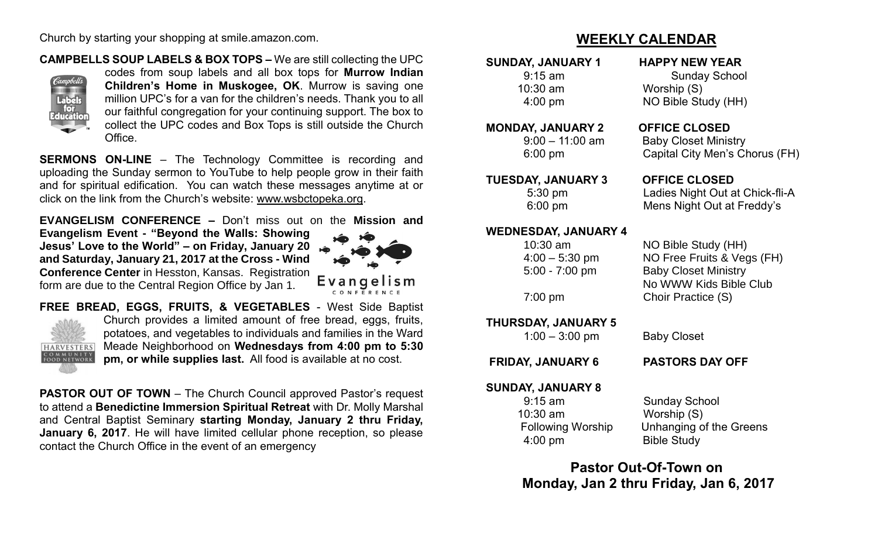Church by starting your shopping at smile.amazon.com.

#### **CAMPBELLS SOUP LABELS & BOX TOPS –** We are still collecting the UPC



codes from soup labels and all box tops for **Murrow Indian Children's Home in Muskogee, OK**. Murrow is saving one million UPC's for a van for the children's needs. Thank you to all our faithful congregation for your continuing support. The box to collect the UPC codes and Box Tops is still outside the Church Office.

**SERMONS ON-LINE** – The Technology Committee is recording and uploading the Sunday sermon to YouTube to help people grow in their faith and for spiritual edification. You can watch these messages anytime at or click on the link from the Church's website: [www.wsbctopeka.org.](http://www.wsbctopeka.org/)

**EVANGELISM CONFERENCE –** Don't miss out on the **Mission and** 

**Evangelism Event - "Beyond the Walls: Showing Jesus' Love to the World" – on Friday, January 20 and Saturday, January 21, 2017 at the Cross - Wind Conference Center** in Hesston, Kansas. Registration form are due to the Central Region Office by Jan 1.



**FREE BREAD, EGGS, FRUITS, & VEGETABLES** - West Side Baptist Church provides a limited amount of free bread, eggs, fruits, potatoes, and vegetables to individuals and families in the Ward Meade Neighborhood on **Wednesdays from 4:00 pm to 5:30 HARVESTERS** COMMUNITY<br>FOOD NETWORK **pm, or while supplies last.** All food is available at no cost.

**PASTOR OUT OF TOWN** – The Church Council approved Pastor's request to attend a **Benedictine Immersion Spiritual Retreat** with Dr. Molly Marshal and Central Baptist Seminary **starting Monday, January 2 thru Friday, January 6, 2017**. He will have limited cellular phone reception, so please contact the Church Office in the event of an emergency

## **WEEKLY CALENDAR**

**SUNDAY, JANUARY 1 HAPPY NEW YEAR**  9:15 am Sunday School

10:30 am Worship (S) 4:00 pm NO Bible Study (HH)

#### **MONDAY, JANUARY 2 OFFICE CLOSED**

 9:00 – 11:00 am Baby Closet Ministry 6:00 pm Capital City Men's Chorus (FH)

**TUESDAY, JANUARY 3 OFFICE CLOSED** 5:30 pm Ladies Night Out at Chick-fli-A 6:00 pm Mens Night Out at Freddy's

#### **WEDNESDAY, JANUARY 4**

| $10:30$ am        | NO Bible Study (HH)         |
|-------------------|-----------------------------|
| $4:00 - 5:30$ pm  | NO Free Fruits & Vegs (FH)  |
| $5:00 - 7:00$ pm  | <b>Baby Closet Ministry</b> |
|                   | No WWW Kids Bible Club      |
| $7:00 \text{ pm}$ | Choir Practice (S)          |
|                   |                             |

**THURSDAY, JANUARY 5** 

1:00 – 3:00 pm Baby Closet

**FRIDAY, JANUARY 6 PASTORS DAY OFF**

#### **SUNDAY, JANUARY 8**

 9:15 am Sunday School 10:30 am Worship (S) 4:00 pm Bible Study

Following Worship Unhanging of the Greens

**Pastor Out-Of-Town on Monday, Jan 2 thru Friday, Jan 6, 2017**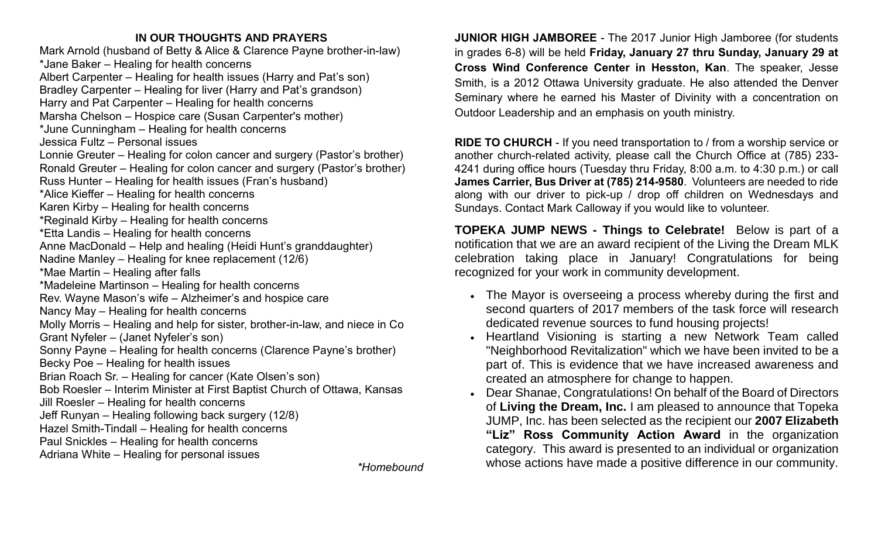### **IN OUR THOUGHTS AND PRAYERS**

Mark Arnold (husband of Betty & Alice & Clarence Payne brother-in-law) \*Jane Baker – Healing for health concerns Albert Carpenter – Healing for health issues (Harry and Pat's son) Bradley Carpenter – Healing for liver (Harry and Pat's grandson) Harry and Pat Carpenter – Healing for health concerns Marsha Chelson – Hospice care (Susan Carpenter's mother) \*June Cunningham – Healing for health concerns Jessica Fultz – Personal issues Lonnie Greuter – Healing for colon cancer and surgery (Pastor's brother) Ronald Greuter – Healing for colon cancer and surgery (Pastor's brother) Russ Hunter – Healing for health issues (Fran's husband) \*Alice Kieffer – Healing for health concerns Karen Kirby – Healing for health concerns \*Reginald Kirby – Healing for health concerns \*Etta Landis – Healing for health concerns Anne MacDonald – Help and healing (Heidi Hunt's granddaughter) Nadine Manley – Healing for knee replacement (12/6) \*Mae Martin – Healing after falls \*Madeleine Martinson – Healing for health concerns Rev. Wayne Mason's wife – Alzheimer's and hospice care Nancy May – Healing for health concerns Molly Morris – Healing and help for sister, brother-in-law, and niece in Co Grant Nyfeler – (Janet Nyfeler's son) Sonny Payne – Healing for health concerns (Clarence Payne's brother) Becky Poe – Healing for health issues Brian Roach Sr. – Healing for cancer (Kate Olsen's son) Bob Roesler – Interim Minister at First Baptist Church of Ottawa, Kansas Jill Roesler – Healing for health concerns Jeff Runyan – Healing following back surgery (12/8) Hazel Smith-Tindall – Healing for health concerns Paul Snickles – Healing for health concerns Adriana White – Healing for personal issues

*\*Homebound*

**JUNIOR HIGH JAMBOREE** - The 2017 Junior High Jamboree (for students in grades 6-8) will be held **Friday, January 27 thru Sunday, January 29 at Cross Wind Conference Center in Hesston, Kan**. The speaker, Jesse Smith, is a 2012 Ottawa University graduate. He also attended the Denver Seminary where he earned his Master of Divinity with a concentration on Outdoor Leadership and an emphasis on youth ministry.

**RIDE TO CHURCH** - If you need transportation to / from a worship service or another church-related activity, please call the Church Office at (785) 233- 4241 during office hours (Tuesday thru Friday, 8:00 a.m. to 4:30 p.m.) or call **James Carrier, Bus Driver at (785) 214-9580**. Volunteers are needed to ride along with our driver to pick-up / drop off children on Wednesdays and Sundays. Contact Mark Calloway if you would like to volunteer.

**TOPEKA JUMP NEWS - Things to Celebrate!** Below is part of a notification that we are an award recipient of the Living the Dream MLK celebration taking place in January! Congratulations for being recognized for your work in community development.

- The Mayor is overseeing a process whereby during the first and second quarters of 2017 members of the task force will research dedicated revenue sources to fund housing projects!
- Heartland Visioning is starting a new Network Team called "Neighborhood Revitalization" which we have been invited to be a part of. This is evidence that we have increased awareness and created an atmosphere for change to happen.
- Dear Shanae, Congratulations! On behalf of the Board of Directors of **Living the Dream, Inc.** I am pleased to announce that Topeka JUMP, Inc. has been selected as the recipient our **2007 Elizabeth "Liz" Ross Community Action Award** in the organization category. This award is presented to an individual or organization whose actions have made a positive difference in our community.